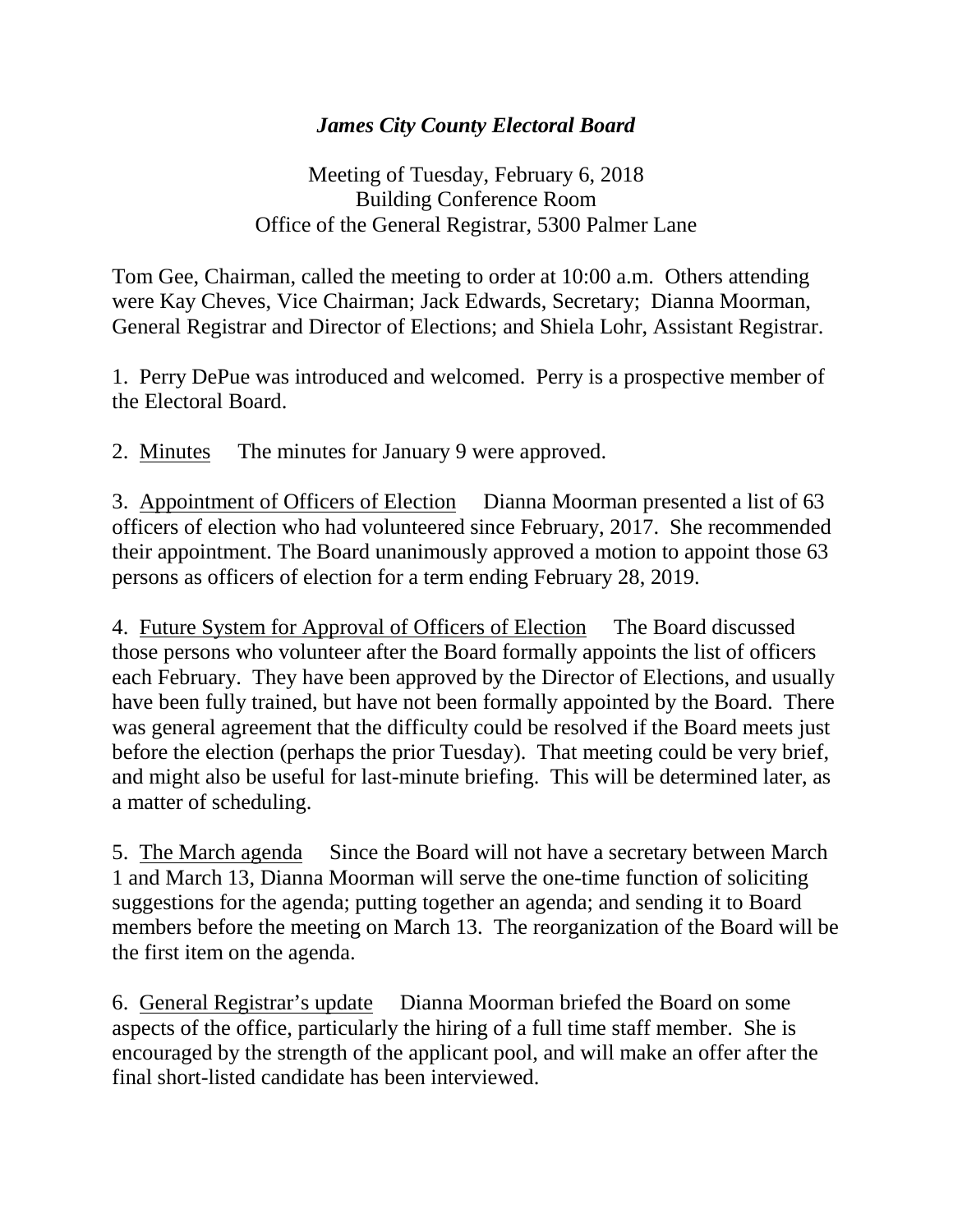## *James City County Electoral Board*

Meeting of Tuesday, February 6, 2018 Building Conference Room Office of the General Registrar, 5300 Palmer Lane

Tom Gee, Chairman, called the meeting to order at 10:00 a.m. Others attending were Kay Cheves, Vice Chairman; Jack Edwards, Secretary; Dianna Moorman, General Registrar and Director of Elections; and Shiela Lohr, Assistant Registrar.

1. Perry DePue was introduced and welcomed. Perry is a prospective member of the Electoral Board.

2. Minutes The minutes for January 9 were approved.

3. Appointment of Officers of Election Dianna Moorman presented a list of 63 officers of election who had volunteered since February, 2017. She recommended their appointment. The Board unanimously approved a motion to appoint those 63 persons as officers of election for a term ending February 28, 2019.

4. Future System for Approval of Officers of Election The Board discussed those persons who volunteer after the Board formally appoints the list of officers each February. They have been approved by the Director of Elections, and usually have been fully trained, but have not been formally appointed by the Board. There was general agreement that the difficulty could be resolved if the Board meets just before the election (perhaps the prior Tuesday). That meeting could be very brief, and might also be useful for last-minute briefing. This will be determined later, as a matter of scheduling.

5. The March agenda Since the Board will not have a secretary between March 1 and March 13, Dianna Moorman will serve the one-time function of soliciting suggestions for the agenda; putting together an agenda; and sending it to Board members before the meeting on March 13. The reorganization of the Board will be the first item on the agenda.

6. General Registrar's update Dianna Moorman briefed the Board on some aspects of the office, particularly the hiring of a full time staff member. She is encouraged by the strength of the applicant pool, and will make an offer after the final short-listed candidate has been interviewed.